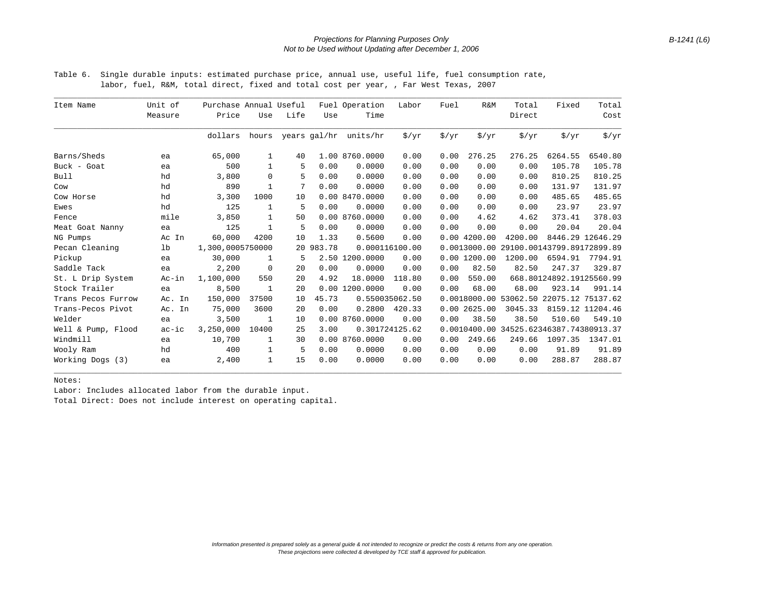## *Projections for Planning Purposes Only Not to be Used without Updating after December 1, 2006*

Table 6. Single durable inputs: estimated purchase price, annual use, useful life, fuel consumption rate, labor, fuel, R&M, total direct, fixed and total cost per year, , Far West Texas, 2007

| Item Name          | Unit of<br>Measure | Purchase Annual Useful<br>Price | Use          | Life | Use       | Fuel Operation<br>Time | Labor             | Fuel              | R&M               | Total<br>Direct                         | Fixed                    | Total<br>Cost     |
|--------------------|--------------------|---------------------------------|--------------|------|-----------|------------------------|-------------------|-------------------|-------------------|-----------------------------------------|--------------------------|-------------------|
|                    |                    | dollars                         | hours        |      |           | years gal/hr units/hr  | $\frac{1}{2}$ /yr | $\frac{1}{2}$ /yr | $\frac{1}{2}$ /yr | $\frac{1}{2}$ /yr                       | $\frac{1}{2}$ /yr        | $\frac{1}{2}$ /yr |
| Barns/Sheds        | ea                 | 65,000                          | 1            | 40   |           | 1.00 8760.0000         | 0.00              | 0.00              | 276.25            | 276.25                                  | 6264.55                  | 6540.80           |
| Buck - Goat        | ea                 | 500                             | 1            | 5    | 0.00      | 0.0000                 | 0.00              | 0.00              | 0.00              | 0.00                                    | 105.78                   | 105.78            |
| Bull               | hd                 | 3,800                           | $\mathbf 0$  | 5    | 0.00      | 0.0000                 | 0.00              | 0.00              | 0.00              | 0.00                                    | 810.25                   | 810.25            |
| Cow                | hd                 | 890                             | $\mathbf{1}$ | 7    | 0.00      | 0.0000                 | 0.00              | 0.00              | 0.00              | 0.00                                    | 131.97                   | 131.97            |
| Cow Horse          | hd                 | 3,300                           | 1000         | 10   |           | 0.00 8470.0000         | 0.00              | 0.00              | 0.00              | 0.00                                    | 485.65                   | 485.65            |
| Ewes               | hd                 | 125                             | 1            | 5    | 0.00      | 0.0000                 | 0.00              | 0.00              | 0.00              | 0.00                                    | 23.97                    | 23.97             |
| Fence              | mile               | 3,850                           | 1            | 50   |           | 0.00 8760.0000         | 0.00              | 0.00              | 4.62              | 4.62                                    | 373.41                   | 378.03            |
| Meat Goat Nanny    | ea                 | 125                             | $\mathbf{1}$ | 5    | 0.00      | 0.0000                 | 0.00              | 0.00              | 0.00              | 0.00                                    | 20.04                    | 20.04             |
| NG Pumps           | Ac In              | 60,000                          | 4200         | 10   | 1.33      | 0.5600                 | 0.00              |                   | $0.00$ 4200.00    | 4200.00                                 |                          | 8446.29 12646.29  |
| Pecan Cleaning     | lb                 | 1,300,0005750000                |              |      | 20 983.78 |                        | 0.000116100.00    |                   | 0.0013000.00      | 29100.00143799.89172899.89              |                          |                   |
| Pickup             | ea                 | 30,000                          | 1            | 5    |           | 2.50 1200.0000         | 0.00              |                   | $0.00$ 1200.00    | 1200.00                                 | 6594.91                  | 7794.91           |
| Saddle Tack        | ea                 | 2,200                           | 0            | 20   | 0.00      | 0.0000                 | 0.00              | 0.00              | 82.50             | 82.50                                   | 247.37                   | 329.87            |
| St. L Drip System  | Ac-in              | 1,100,000                       | 550          | 20   | 4.92      | 18,0000                | 118.80            | 0.00              | 550.00            |                                         | 668.80124892.19125560.99 |                   |
| Stock Trailer      | ea                 | 8,500                           | $\mathbf{1}$ | 20   |           | 0.00 1200.0000         | 0.00              | 0.00              | 68.00             | 68.00                                   | 923.14                   | 991.14            |
| Trans Pecos Furrow | Ac. In             | 150,000                         | 37500        | 10   | 45.73     |                        | 0.550035062.50    |                   |                   | 0.0018000.00 53062.50 22075.12 75137.62 |                          |                   |
| Trans-Pecos Pivot  | Ac. In             | 75,000                          | 3600         | 20   | 0.00      | 0.2800                 | 420.33            |                   | 0.002625.00       | 3045.33                                 |                          | 8159.12 11204.46  |
| Welder             | ea                 | 3,500                           | 1            | 10   |           | 0.00 8760.0000         | 0.00              | 0.00              | 38.50             | 38.50                                   | 510.60                   | 549.10            |
| Well & Pump, Flood | $ac-ic$            | 3,250,000                       | 10400        | 25   | 3.00      |                        | 0.301724125.62    |                   |                   | 0.0010400.00 34525.62346387.74380913.37 |                          |                   |
| Windmill           | ea                 | 10,700                          | 1            | 30   |           | 0.00 8760.0000         | 0.00              | 0.00              | 249.66            | 249.66                                  | 1097.35                  | 1347.01           |
| Wooly Ram          | hd                 | 400                             | 1            | 5    | 0.00      | 0.0000                 | 0.00              | 0.00              | 0.00              | 0.00                                    | 91.89                    | 91.89             |
| Working Dogs (3)   | ea                 | 2,400                           | $\mathbf 1$  | 15   | 0.00      | 0.0000                 | 0.00              | 0.00              | 0.00              | 0.00                                    | 288.87                   | 288.87            |

\_\_\_\_\_\_\_\_\_\_\_\_\_\_\_\_\_\_\_\_\_\_\_\_\_\_\_\_\_\_\_\_\_\_\_\_\_\_\_\_\_\_\_\_\_\_\_\_\_\_\_\_\_\_\_\_\_\_\_\_\_\_\_\_\_\_\_\_\_\_\_\_\_\_\_\_\_\_\_\_\_\_\_\_\_\_\_\_\_\_\_\_\_\_\_\_\_\_\_\_\_\_\_\_\_\_\_\_\_\_\_\_\_\_\_\_\_\_\_\_\_\_

Notes:

Labor: Includes allocated labor from the durable input.

Total Direct: Does not include interest on operating capital.